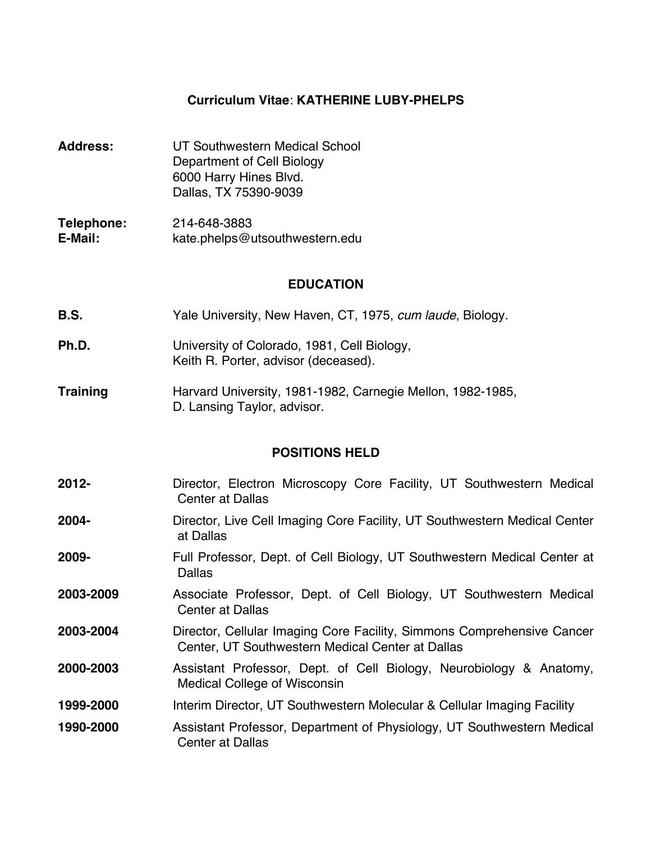#### **Curriculum Vitae**: **KATHERINE LUBY-PHELPS**

- **Address:** UT Southwestern Medical School Department of Cell Biology 6000 Harry Hines Blvd. Dallas, TX 75390-9039
- **Telephone:** 214-648-3883 **E-Mail:** kate.phelps@utsouthwestern.edu

#### **EDUCATION**

- **B.S.** Yale University, New Haven, CT, 1975, *cum laude*, Biology.
- **Ph.D.** University of Colorado, 1981, Cell Biology, Keith R. Porter, advisor (deceased).
- **Training** Harvard University, 1981-1982, Carnegie Mellon, 1982-1985, D. Lansing Taylor, advisor.

## **POSITIONS HELD**

| $2012 -$  | Director, Electron Microscopy Core Facility, UT Southwestern Medical<br><b>Center at Dallas</b>                            |
|-----------|----------------------------------------------------------------------------------------------------------------------------|
| 2004-     | Director, Live Cell Imaging Core Facility, UT Southwestern Medical Center<br>at Dallas                                     |
| 2009-     | Full Professor, Dept. of Cell Biology, UT Southwestern Medical Center at<br><b>Dallas</b>                                  |
| 2003-2009 | Associate Professor, Dept. of Cell Biology, UT Southwestern Medical<br><b>Center at Dallas</b>                             |
| 2003-2004 | Director, Cellular Imaging Core Facility, Simmons Comprehensive Cancer<br>Center, UT Southwestern Medical Center at Dallas |
| 2000-2003 | Assistant Professor, Dept. of Cell Biology, Neurobiology & Anatomy,<br><b>Medical College of Wisconsin</b>                 |
| 1999-2000 | Interim Director, UT Southwestern Molecular & Cellular Imaging Facility                                                    |
| 1990-2000 | Assistant Professor, Department of Physiology, UT Southwestern Medical<br><b>Center at Dallas</b>                          |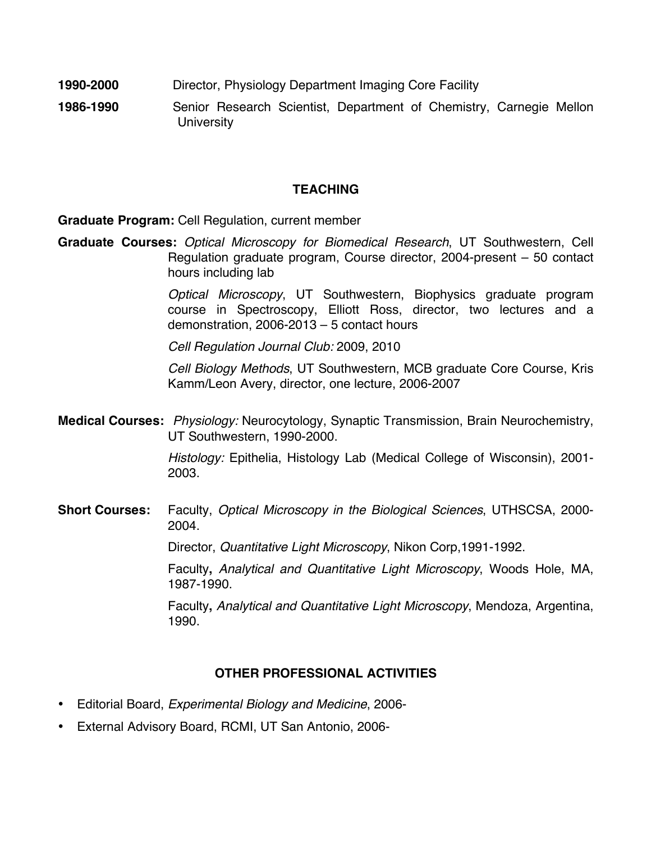- **1990-2000** Director, Physiology Department Imaging Core Facility
- **1986-1990** Senior Research Scientist, Department of Chemistry, Carnegie Mellon **University**

## **TEACHING**

**Graduate Program:** Cell Regulation, current member

**Graduate Courses:** *Optical Microscopy for Biomedical Research*, UT Southwestern, Cell Regulation graduate program, Course director, 2004-present – 50 contact hours including lab

> *Optical Microscopy*, UT Southwestern, Biophysics graduate program course in Spectroscopy, Elliott Ross, director, two lectures and a demonstration, 2006-2013 – 5 contact hours

*Cell Regulation Journal Club:* 2009, 2010

*Cell Biology Methods*, UT Southwestern, MCB graduate Core Course, Kris Kamm/Leon Avery, director, one lecture, 2006-2007

**Medical Courses:** *Physiology:* Neurocytology, Synaptic Transmission, Brain Neurochemistry, UT Southwestern, 1990-2000.

> *Histology:* Epithelia, Histology Lab (Medical College of Wisconsin), 2001- 2003.

**Short Courses:** Faculty, *Optical Microscopy in the Biological Sciences*, UTHSCSA, 2000- 2004.

Director, *Quantitative Light Microscopy*, Nikon Corp,1991-1992.

Faculty**,** *Analytical and Quantitative Light Microscopy*, Woods Hole, MA, 1987-1990.

Faculty**,** *Analytical and Quantitative Light Microscopy*, Mendoza, Argentina, 1990.

# **OTHER PROFESSIONAL ACTIVITIES**

- Editorial Board, *Experimental Biology and Medicine*, 2006-
- External Advisory Board, RCMI, UT San Antonio, 2006-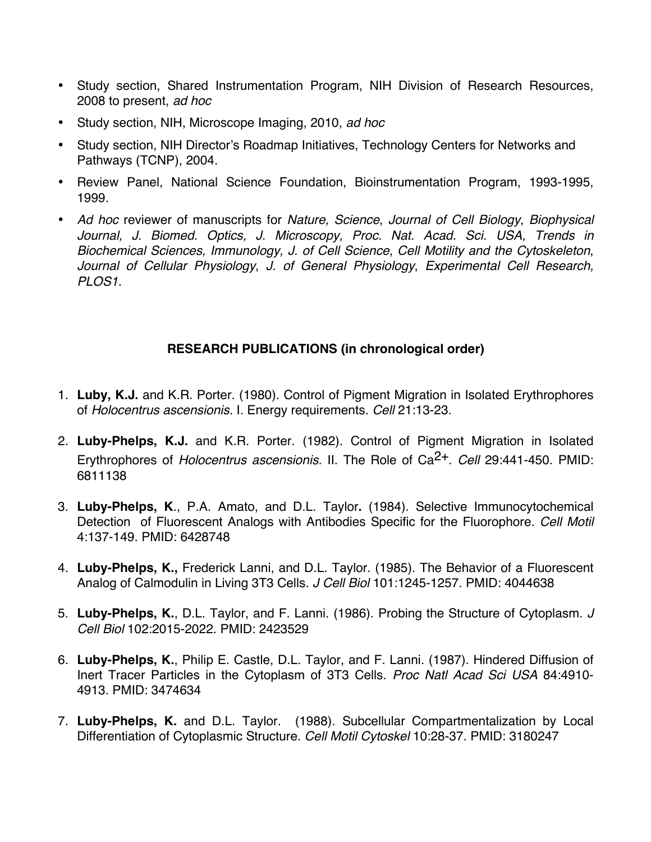- Study section, Shared Instrumentation Program, NIH Division of Research Resources, 2008 to present, *ad hoc*
- Study section, NIH, Microscope Imaging, 2010, *ad hoc*
- Study section, NIH Director's Roadmap Initiatives, Technology Centers for Networks and Pathways (TCNP), 2004.
- Review Panel, National Science Foundation, Bioinstrumentation Program, 1993-1995, 1999.
- *Ad hoc* reviewer of manuscripts for *Nature, Science*, *Journal of Cell Biology*, *Biophysical Journal, J. Biomed. Optics, J. Microscopy, Proc. Nat. Acad. Sci. USA, Trends in Biochemical Sciences, Immunology, J. of Cell Science*, *Cell Motility and the Cytoskeleton*, *Journal of Cellular Physiology*, *J. of General Physiology*, *Experimental Cell Research, PLOS1.*

# **RESEARCH PUBLICATIONS (in chronological order)**

- 1. **Luby, K.J.** and K.R. Porter. (1980). Control of Pigment Migration in Isolated Erythrophores of *Holocentrus ascensionis.* I. Energy requirements. *Cell* 21:13-23.
- 2. **Luby-Phelps, K.J.** and K.R. Porter. (1982). Control of Pigment Migration in Isolated Erythrophores of *Holocentrus ascensionis.* II. The Role of Ca2+. *Cell* 29:441-450. PMID: 6811138
- 3. **Luby-Phelps, K**., P.A. Amato, and D.L. Taylor**.** (1984). Selective Immunocytochemical Detection of Fluorescent Analogs with Antibodies Specific for the Fluorophore. *Cell Motil*  4:137-149. PMID: 6428748
- 4. **Luby-Phelps, K.,** Frederick Lanni, and D.L. Taylor. (1985). The Behavior of a Fluorescent Analog of Calmodulin in Living 3T3 Cells. *J Cell Biol* 101:1245-1257. PMID: 4044638
- 5. **Luby-Phelps, K.**, D.L. Taylor, and F. Lanni. (1986). Probing the Structure of Cytoplasm. *J Cell Biol* 102:2015-2022. PMID: 2423529
- 6. **Luby-Phelps, K.**, Philip E. Castle, D.L. Taylor, and F. Lanni. (1987). Hindered Diffusion of Inert Tracer Particles in the Cytoplasm of 3T3 Cells. *Proc Natl Acad Sci USA* 84:4910- 4913. PMID: 3474634
- 7. **Luby-Phelps, K.** and D.L. Taylor. (1988). Subcellular Compartmentalization by Local Differentiation of Cytoplasmic Structure. *Cell Motil Cytoskel* 10:28-37. PMID: 3180247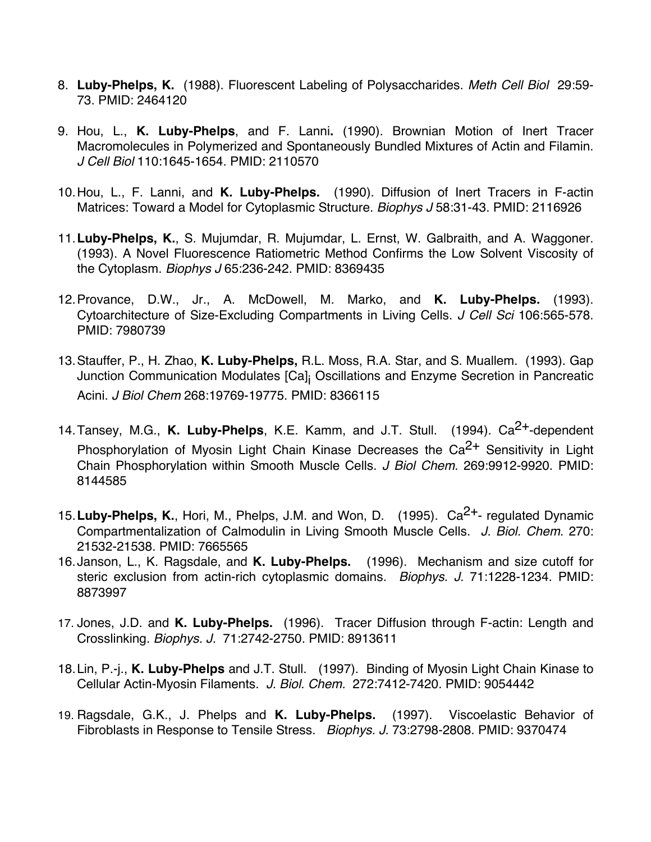- 8. **Luby-Phelps, K.** (1988). Fluorescent Labeling of Polysaccharides. *Meth Cell Biol* 29:59- 73. PMID: 2464120
- 9. Hou, L., **K. Luby-Phelps**, and F. Lanni**.** (1990). Brownian Motion of Inert Tracer Macromolecules in Polymerized and Spontaneously Bundled Mixtures of Actin and Filamin. *J Cell Biol* 110:1645-1654. PMID: 2110570
- 10.Hou, L., F. Lanni, and **K. Luby-Phelps.** (1990). Diffusion of Inert Tracers in F-actin Matrices: Toward a Model for Cytoplasmic Structure. *Biophys J* 58:31-43. PMID: 2116926
- 11.**Luby-Phelps, K.**, S. Mujumdar, R. Mujumdar, L. Ernst, W. Galbraith, and A. Waggoner. (1993). A Novel Fluorescence Ratiometric Method Confirms the Low Solvent Viscosity of the Cytoplasm. *Biophys J* 65:236-242. PMID: 8369435
- 12.Provance, D.W., Jr., A. McDowell, M. Marko, and **K. Luby-Phelps.** (1993). Cytoarchitecture of Size-Excluding Compartments in Living Cells. *J Cell Sci* 106:565-578. PMID: 7980739
- 13.Stauffer, P., H. Zhao, **K. Luby-Phelps,** R.L. Moss, R.A. Star, and S. Muallem. (1993). Gap Junction Communication Modulates [Ca]<sub>i</sub> Oscillations and Enzyme Secretion in Pancreatic Acini. *J Biol Chem* 268:19769-19775. PMID: 8366115
- 14. Tansey, M.G., K. Luby-Phelps, K.E. Kamm, and J.T. Stull. (1994). Ca<sup>2+</sup>-dependent Phosphorylation of Myosin Light Chain Kinase Decreases the  $Ca<sup>2+</sup>$  Sensitivity in Light Chain Phosphorylation within Smooth Muscle Cells. *J Biol Chem.* 269:9912-9920. PMID: 8144585
- 15.**Luby-Phelps, K.**, Hori, M., Phelps, J.M. and Won, D. (1995). Ca2+- regulated Dynamic Compartmentalization of Calmodulin in Living Smooth Muscle Cells. *J. Biol. Chem.* 270: 21532-21538. PMID: 7665565
- 16.Janson, L., K. Ragsdale, and **K. Luby-Phelps.** (1996). Mechanism and size cutoff for steric exclusion from actin-rich cytoplasmic domains. *Biophys. J.* 71:1228-1234. PMID: 8873997
- 17. Jones, J.D. and **K. Luby-Phelps.** (1996). Tracer Diffusion through F-actin: Length and Crosslinking. *Biophys. J.* 71:2742-2750. PMID: 8913611
- 18.Lin, P.-j., **K. Luby-Phelps** and J.T. Stull. (1997). Binding of Myosin Light Chain Kinase to Cellular Actin-Myosin Filaments. *J. Biol. Chem.* 272:7412-7420. PMID: 9054442
- 19. Ragsdale, G.K., J. Phelps and **K. Luby-Phelps.** (1997). Viscoelastic Behavior of Fibroblasts in Response to Tensile Stress. *Biophys. J.* 73:2798-2808. PMID: 9370474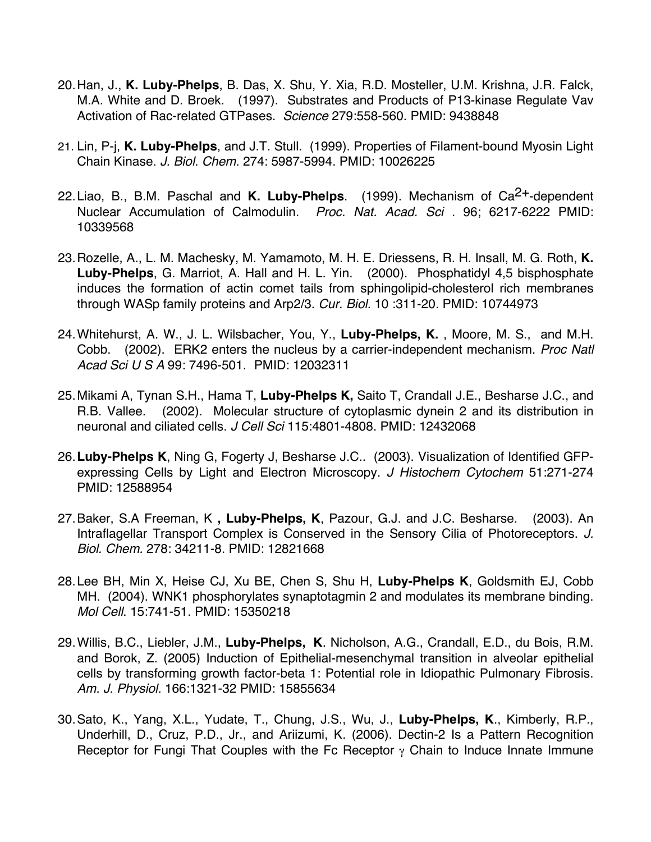- 20.Han, J., **K. Luby-Phelps**, B. Das, X. Shu, Y. Xia, R.D. Mosteller, U.M. Krishna, J.R. Falck, M.A. White and D. Broek. (1997). Substrates and Products of P13-kinase Regulate Vav Activation of Rac-related GTPases. *Science* 279:558-560. PMID: 9438848
- 21. Lin, P-j, **K. Luby-Phelps**, and J.T. Stull. (1999). Properties of Filament-bound Myosin Light Chain Kinase. *J. Biol. Chem.* 274: 5987-5994. PMID: 10026225
- 22. Liao, B., B.M. Paschal and K. Luby-Phelps. (1999). Mechanism of Ca<sup>2+</sup>-dependent Nuclear Accumulation of Calmodulin. *Proc. Nat. Acad. Sci .* 96; 6217-6222 PMID: 10339568
- 23.Rozelle, A., L. M. Machesky, M. Yamamoto, M. H. E. Driessens, R. H. Insall, M. G. Roth, **K. Luby-Phelps**, G. Marriot, A. Hall and H. L. Yin. (2000). Phosphatidyl 4,5 bisphosphate induces the formation of actin comet tails from sphingolipid-cholesterol rich membranes through WASp family proteins and Arp2/3. *Cur. Biol.* 10 :311-20. PMID: 10744973
- 24.Whitehurst, A. W., J. L. Wilsbacher, You, Y., **Luby-Phelps, K.** , Moore, M. S., and M.H. Cobb. (2002). ERK2 enters the nucleus by a carrier-independent mechanism. *Proc Natl Acad Sci U S A* 99: 7496-501. PMID: 12032311
- 25.Mikami A, Tynan S.H., Hama T, **Luby-Phelps K,** Saito T, Crandall J.E., Besharse J.C., and R.B. Vallee. (2002). Molecular structure of cytoplasmic dynein 2 and its distribution in neuronal and ciliated cells. *J Cell Sci* 115:4801-4808. PMID: 12432068
- 26.**Luby-Phelps K**, Ning G, Fogerty J, Besharse J.C.. (2003). Visualization of Identified GFPexpressing Cells by Light and Electron Microscopy. *J Histochem Cytochem* 51:271-274 PMID: 12588954
- 27.Baker, S.A Freeman, K **, Luby-Phelps, K**, Pazour, G.J. and J.C. Besharse. (2003). An Intraflagellar Transport Complex is Conserved in the Sensory Cilia of Photoreceptors. *J. Biol. Chem.* 278: 34211-8. PMID: 12821668
- 28.Lee BH, Min X, Heise CJ, Xu BE, Chen S, Shu H, **Luby-Phelps K**, Goldsmith EJ, Cobb MH. (2004). WNK1 phosphorylates synaptotagmin 2 and modulates its membrane binding. *Mol Cell*. 15:741-51. PMID: 15350218
- 29.Willis, B.C., Liebler, J.M., **Luby-Phelps, K**. Nicholson, A.G., Crandall, E.D., du Bois, R.M. and Borok, Z. (2005) Induction of Epithelial-mesenchymal transition in alveolar epithelial cells by transforming growth factor-beta 1: Potential role in Idiopathic Pulmonary Fibrosis. *Am. J. Physiol.* 166:1321-32 PMID: 15855634
- 30.Sato, K., Yang, X.L., Yudate, T., Chung, J.S., Wu, J., **Luby-Phelps, K**., Kimberly, R.P., Underhill, D., Cruz, P.D., Jr., and Ariizumi, K. (2006). Dectin-2 Is a Pattern Recognition Receptor for Fungi That Couples with the Fc Receptor γ Chain to Induce Innate Immune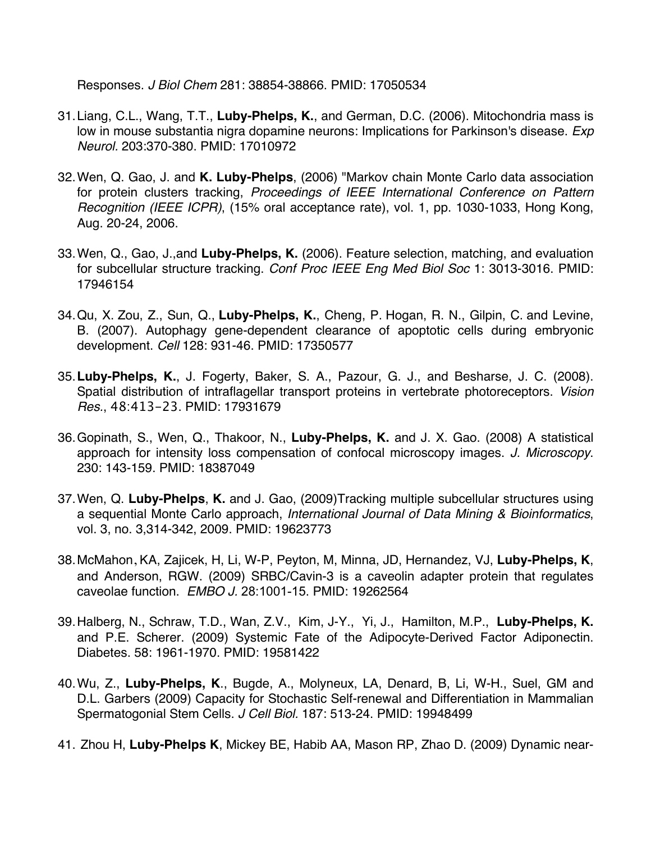Responses. *J Biol Chem* 281: 38854-38866. PMID: 17050534

- 31.Liang, C.L., Wang, T.T., **Luby-Phelps, K.**, and German, D.C. (2006). Mitochondria mass is low in mouse substantia nigra dopamine neurons: Implications for Parkinson's disease. *Exp Neurol.* 203:370-380. PMID: 17010972
- 32.Wen, Q. Gao, J. and **K. Luby-Phelps**, (2006) "Markov chain Monte Carlo data association for protein clusters tracking, *Proceedings of IEEE International Conference on Pattern Recognition (IEEE ICPR)*, (15% oral acceptance rate), vol. 1, pp. 1030-1033, Hong Kong, Aug. 20-24, 2006.
- 33.Wen, Q., Gao, J.,and **Luby-Phelps, K.** (2006). Feature selection, matching, and evaluation for subcellular structure tracking. *Conf Proc IEEE Eng Med Biol Soc* 1: 3013-3016. PMID: 17946154
- 34.Qu, X. Zou, Z., Sun, Q., **Luby-Phelps, K.**, Cheng, P. Hogan, R. N., Gilpin, C. and Levine, B. (2007). Autophagy gene-dependent clearance of apoptotic cells during embryonic development. *Cell* 128: 931-46. PMID: 17350577
- 35.**Luby-Phelps, K.**, J. Fogerty, Baker, S. A., Pazour, G. J., and Besharse, J. C. (2008). Spatial distribution of intraflagellar transport proteins in vertebrate photoreceptors. *Vision Res.*, 48:413-23. PMID: 17931679
- 36.Gopinath, S., Wen, Q., Thakoor, N., **Luby-Phelps, K.** and J. X. Gao. (2008) A statistical approach for intensity loss compensation of confocal microscopy images. *J. Microscopy*. 230: 143-159. PMID: 18387049
- 37.Wen, Q. **Luby-Phelps**, **K.** and J. Gao, (2009)Tracking multiple subcellular structures using a sequential Monte Carlo approach, *International Journal of Data Mining & Bioinformatics*, vol. 3, no. 3,314-342, 2009. PMID: 19623773
- 38.McMahon, KA, Zajicek, H, Li, W-P, Peyton, M, Minna, JD, Hernandez, VJ, **Luby-Phelps, K**, and Anderson, RGW. (2009) SRBC/Cavin-3 is a caveolin adapter protein that regulates caveolae function. *EMBO J.* 28:1001-15. PMID: 19262564
- 39.Halberg, N., Schraw, T.D., Wan, Z.V., Kim, J-Y., Yi, J., Hamilton, M.P., **Luby-Phelps, K.**  and P.E. Scherer. (2009) Systemic Fate of the Adipocyte-Derived Factor Adiponectin. Diabetes. 58: 1961-1970. PMID: 19581422
- 40.Wu, Z., **Luby-Phelps, K**., Bugde, A., Molyneux, LA, Denard, B, Li, W-H., Suel, GM and D.L. Garbers (2009) Capacity for Stochastic Self-renewal and Differentiation in Mammalian Spermatogonial Stem Cells. *J Cell Biol.* 187: 513-24. PMID: 19948499
- 41. Zhou H, **Luby-Phelps K**, Mickey BE, Habib AA, Mason RP, Zhao D. (2009) Dynamic near-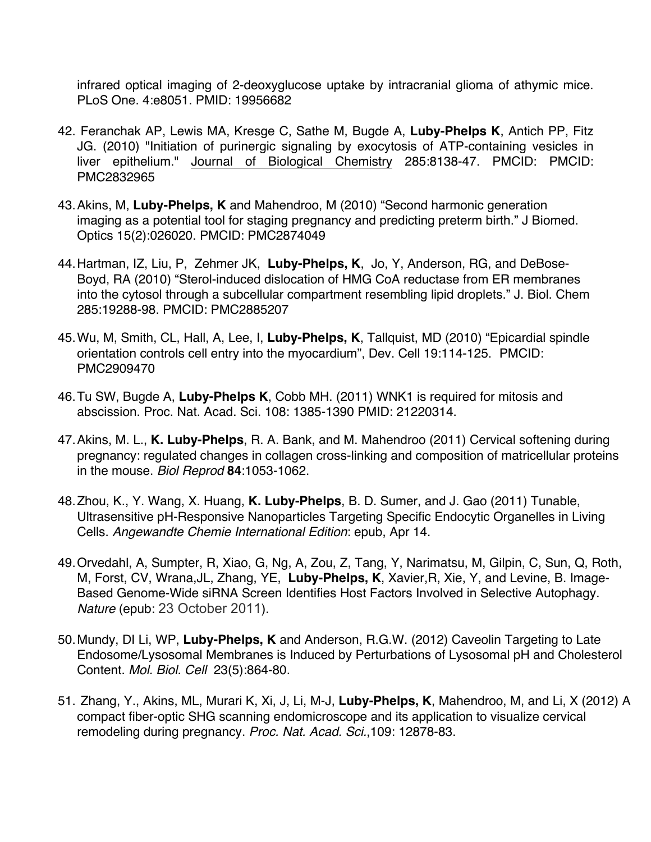infrared optical imaging of 2-deoxyglucose uptake by intracranial glioma of athymic mice. PLoS One. 4:e8051. PMID: 19956682

- 42. Feranchak AP, Lewis MA, Kresge C, Sathe M, Bugde A, **Luby-Phelps K**, Antich PP, Fitz JG. (2010) "Initiation of purinergic signaling by exocytosis of ATP-containing vesicles in liver epithelium." Journal of Biological Chemistry 285:8138-47. PMCID: PMCID: PMC2832965
- 43.Akins, M, **Luby-Phelps, K** and Mahendroo, M (2010) "Second harmonic generation imaging as a potential tool for staging pregnancy and predicting preterm birth." J Biomed. Optics 15(2):026020. PMCID: PMC2874049
- 44.Hartman, IZ, Liu, P, Zehmer JK, **Luby-Phelps, K**, Jo, Y, Anderson, RG, and DeBose-Boyd, RA (2010) "Sterol-induced dislocation of HMG CoA reductase from ER membranes into the cytosol through a subcellular compartment resembling lipid droplets." J. Biol. Chem 285:19288-98. PMCID: PMC2885207
- 45.Wu, M, Smith, CL, Hall, A, Lee, I, **Luby-Phelps, K**, Tallquist, MD (2010) "Epicardial spindle orientation controls cell entry into the myocardium", Dev. Cell 19:114-125. PMCID: PMC2909470
- 46.Tu SW, Bugde A, **Luby-Phelps K**, Cobb MH. (2011) WNK1 is required for mitosis and abscission. Proc. Nat. Acad. Sci. 108: 1385-1390 PMID: 21220314.
- 47.Akins, M. L., **K. Luby-Phelps**, R. A. Bank, and M. Mahendroo (2011) Cervical softening during pregnancy: regulated changes in collagen cross-linking and composition of matricellular proteins in the mouse. *Biol Reprod* **84**:1053-1062.
- 48.Zhou, K., Y. Wang, X. Huang, **K. Luby-Phelps**, B. D. Sumer, and J. Gao (2011) Tunable, Ultrasensitive pH-Responsive Nanoparticles Targeting Specific Endocytic Organelles in Living Cells. *Angewandte Chemie International Edition*: epub, Apr 14.
- 49.Orvedahl, A, Sumpter, R, Xiao, G, Ng, A, Zou, Z, Tang, Y, Narimatsu, M, Gilpin, C, Sun, Q, Roth, M, Forst, CV, Wrana,JL, Zhang, YE, **Luby-Phelps, K**, Xavier,R, Xie, Y, and Levine, B. Image-Based Genome-Wide siRNA Screen Identifies Host Factors Involved in Selective Autophagy. *Nature* (epub: 23 October 2011).
- 50.Mundy, DI Li, WP, **Luby-Phelps, K** and Anderson, R.G.W. (2012) Caveolin Targeting to Late Endosome/Lysosomal Membranes is Induced by Perturbations of Lysosomal pH and Cholesterol Content. *Mol. Biol. Cell* 23(5):864-80.
- 51. Zhang, Y., Akins, ML, Murari K, Xi, J, Li, M-J, **Luby-Phelps, K**, Mahendroo, M, and Li, X (2012) A compact fiber-optic SHG scanning endomicroscope and its application to visualize cervical remodeling during pregnancy. *Proc. Nat. Acad. Sci.*,109: 12878-83.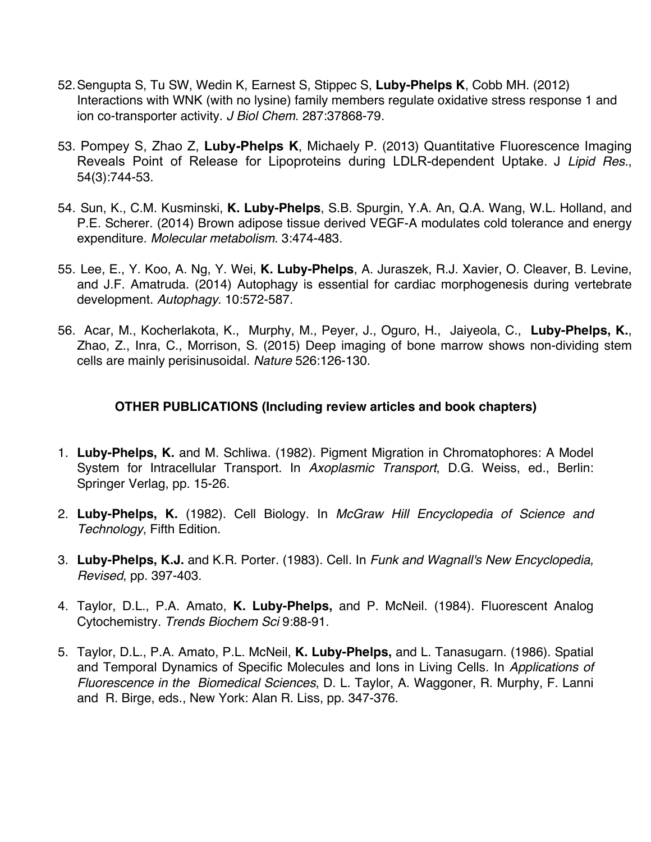- 52.Sengupta S, Tu SW, Wedin K, Earnest S, Stippec S, **Luby-Phelps K**, Cobb MH. (2012) Interactions with WNK (with no lysine) family members regulate oxidative stress response 1 and ion co-transporter activity. *J Biol Chem*. 287:37868-79.
- 53. Pompey S, Zhao Z, **Luby-Phelps K**, Michaely P. (2013) Quantitative Fluorescence Imaging Reveals Point of Release for Lipoproteins during LDLR-dependent Uptake. J *Lipid Res.*, 54(3):744-53.
- 54. Sun, K., C.M. Kusminski, **K. Luby-Phelps**, S.B. Spurgin, Y.A. An, Q.A. Wang, W.L. Holland, and P.E. Scherer. (2014) Brown adipose tissue derived VEGF-A modulates cold tolerance and energy expenditure. *Molecular metabolism*. 3:474-483.
- 55. Lee, E., Y. Koo, A. Ng, Y. Wei, **K. Luby-Phelps**, A. Juraszek, R.J. Xavier, O. Cleaver, B. Levine, and J.F. Amatruda. (2014) Autophagy is essential for cardiac morphogenesis during vertebrate development. *Autophagy*. 10:572-587.
- 56. Acar, M., Kocherlakota, K., Murphy, M., Peyer, J., Oguro, H., Jaiyeola, C., **Luby-Phelps, K.**, Zhao, Z., Inra, C., Morrison, S. (2015) Deep imaging of bone marrow shows non-dividing stem cells are mainly perisinusoidal. *Nature* 526:126-130.

## **OTHER PUBLICATIONS (Including review articles and book chapters)**

- 1. **Luby-Phelps, K.** and M. Schliwa. (1982). Pigment Migration in Chromatophores: A Model System for Intracellular Transport. In *Axoplasmic Transport*, D.G. Weiss, ed., Berlin: Springer Verlag, pp. 15-26.
- 2. **Luby-Phelps, K.** (1982). Cell Biology. In *McGraw Hill Encyclopedia of Science and Technology*, Fifth Edition.
- 3. **Luby-Phelps, K.J.** and K.R. Porter. (1983). Cell. In *Funk and Wagnall's New Encyclopedia, Revised*, pp. 397-403.
- 4. Taylor, D.L., P.A. Amato, **K. Luby-Phelps,** and P. McNeil. (1984). Fluorescent Analog Cytochemistry. *Trends Biochem Sci* 9:88-91.
- 5. Taylor, D.L., P.A. Amato, P.L. McNeil, **K. Luby-Phelps,** and L. Tanasugarn. (1986). Spatial and Temporal Dynamics of Specific Molecules and Ions in Living Cells. In *Applications of Fluorescence in the Biomedical Sciences*, D. L. Taylor, A. Waggoner, R. Murphy, F. Lanni and R. Birge, eds., New York: Alan R. Liss, pp. 347-376.